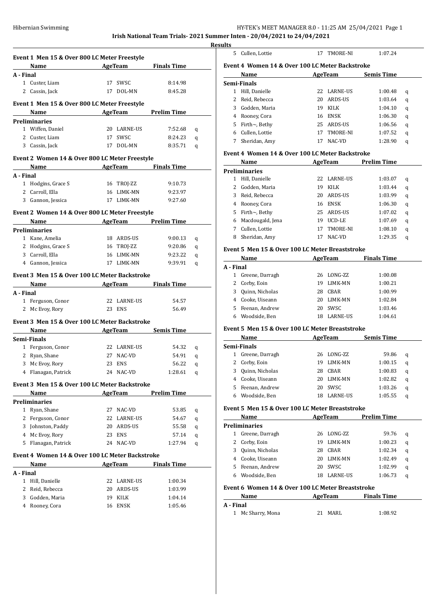# HY-TEK's MEET MANAGER 8.0 - 11:25 AM 25/04/2021 Page 1

**Irish National Team Trials- 2021 Summer Inten - 20/04/2021 to 24/04/2021**

|           | Event 1 Men 15 & Over 800 LC Meter Freestyle                                                                                                                                                                                  |                          |                    |   |
|-----------|-------------------------------------------------------------------------------------------------------------------------------------------------------------------------------------------------------------------------------|--------------------------|--------------------|---|
|           | Name AgeTeam Finals Time                                                                                                                                                                                                      |                          |                    |   |
| A - Final |                                                                                                                                                                                                                               |                          |                    |   |
|           | 1 Custer, Liam                                                                                                                                                                                                                | 17 SWSC                  | 8:14.98            |   |
|           | 2 Cassin, Jack                                                                                                                                                                                                                | 17 DOL-MN                | 8:45.28            |   |
|           | Event 1 Men 15 & Over 800 LC Meter Freestyle                                                                                                                                                                                  |                          |                    |   |
|           |                                                                                                                                                                                                                               | Name AgeTeam Prelim Time |                    |   |
|           | Preliminaries                                                                                                                                                                                                                 |                          |                    |   |
|           | 1 Wiffen, Daniel                                                                                                                                                                                                              | 20 LARNE-US              | 7:52.68            | q |
|           | 2 Custer, Liam                                                                                                                                                                                                                | 17 SWSC                  | 8:24.23            | q |
|           | 3 Cassin, Jack                                                                                                                                                                                                                | 17 DOL-MN                | 8:35.71            | q |
|           | Event 2 Women 14 & Over 800 LC Meter Freestyle                                                                                                                                                                                |                          |                    |   |
|           |                                                                                                                                                                                                                               | Name AgeTeam Finals Time |                    |   |
|           | A - Final                                                                                                                                                                                                                     |                          |                    |   |
|           | 1 Hodgins, Grace S                                                                                                                                                                                                            | 16 TROJ-ZZ               | 9:10.73            |   |
|           | 2 Carroll, Ella                                                                                                                                                                                                               | 16 LIMK-MN               | 9:23.97            |   |
|           | 3 Gannon, Jessica                                                                                                                                                                                                             | 17 LIMK-MN               | 9:27.60            |   |
|           | Event 2 Women 14 & Over 800 LC Meter Freestyle                                                                                                                                                                                |                          |                    |   |
|           |                                                                                                                                                                                                                               | Name AgeTeam Prelim Time |                    |   |
|           | Preliminaries                                                                                                                                                                                                                 |                          |                    |   |
|           | 1 Kane, Amelia                                                                                                                                                                                                                | 18 ARDS-US               | 9:00.13            | q |
|           | 2 Hodgins, Grace S                                                                                                                                                                                                            | 16 TROJ-ZZ               | 9:20.86            | q |
|           | 3 Carroll, Ella                                                                                                                                                                                                               | 16 LIMK-MN               | 9:23.22            | q |
|           | 4 Gannon, Jessica                                                                                                                                                                                                             | 17 LIMK-MN               | 9:39.91            | q |
|           |                                                                                                                                                                                                                               |                          |                    |   |
|           | Event 3 Men 15 & Over 100 LC Meter Backstroke                                                                                                                                                                                 |                          |                    |   |
|           | Name and the same state of the same state of the same state of the same state of the same state of the same state of the same state of the same state of the same state of the same state of the same state of the same state | AgeTeam Finals Time      |                    |   |
|           | A - Final                                                                                                                                                                                                                     |                          |                    |   |
|           | 1 Ferguson, Conor                                                                                                                                                                                                             | 22 LARNE-US              | 54.57              |   |
|           | 2 Mc Evoy, Rory                                                                                                                                                                                                               | 23 ENS                   | 56.49              |   |
|           | Event 3 Men 15 & Over 100 LC Meter Backstroke                                                                                                                                                                                 |                          |                    |   |
|           | Name AgeTeam Semis Time                                                                                                                                                                                                       |                          |                    |   |
|           | Semi-Finals                                                                                                                                                                                                                   |                          |                    |   |
|           | 1 Ferguson, Conor                                                                                                                                                                                                             | 22 LARNE-US              | 54.32              | q |
|           |                                                                                                                                                                                                                               |                          | 54.91              | q |
|           | 2 Ryan, Shane                                                                                                                                                                                                                 | 27 NAC-VD                |                    |   |
|           |                                                                                                                                                                                                                               | 23 ENS                   | 56.22 q            |   |
|           | 3 Mc Evoy, Rory<br>4 Flanagan, Patrick                                                                                                                                                                                        | 24 NAC-VD                | 1:28.61            | q |
|           | Event 3 Men 15 & Over 100 LC Meter Backstroke                                                                                                                                                                                 |                          |                    |   |
|           | Name                                                                                                                                                                                                                          |                          |                    |   |
|           | Preliminaries                                                                                                                                                                                                                 | AgeTeam Prelim Time      |                    |   |
|           | 1 Ryan, Shane                                                                                                                                                                                                                 | 27 NAC-VD                | 53.85              | q |
|           |                                                                                                                                                                                                                               | 22 LARNE-US              | 54.67              |   |
|           | 2 Ferguson, Conor                                                                                                                                                                                                             |                          |                    | q |
|           | 3 Johnston, Paddy                                                                                                                                                                                                             | 20 ARDS-US               | 55.58              | q |
|           | 4 Mc Evoy, Rory                                                                                                                                                                                                               | 23 ENS                   | 57.14              | q |
|           | 5 Flanagan, Patrick                                                                                                                                                                                                           | 24 NAC-VD                | 1:27.94            | q |
|           | Event 4 Women 14 & Over 100 LC Meter Backstroke                                                                                                                                                                               |                          |                    |   |
|           | Name                                                                                                                                                                                                                          | AgeTeam                  | <b>Finals Time</b> |   |
| A - Final |                                                                                                                                                                                                                               |                          |                    |   |
|           | 1 Hill, Danielle                                                                                                                                                                                                              | 22 LARNE-US              | 1:00.34            |   |
|           | 2 Reid, Rebecca                                                                                                                                                                                                               | 20 ARDS-US               | 1:03.99            |   |
|           | 3 Godden, Maria<br>4 Rooney, Cora                                                                                                                                                                                             | 19 KILK                  | 1:04.14            |   |

| 5. | Cullen, Lottie                                  | 17 | TMORE-NI    | 1:07.24           |   |
|----|-------------------------------------------------|----|-------------|-------------------|---|
|    | Event 4 Women 14 & Over 100 LC Meter Backstroke |    |             |                   |   |
|    | Name                                            |    | AgeTeam     | <b>Semis Time</b> |   |
|    | Semi-Finals                                     |    |             |                   |   |
|    | Hill, Danielle                                  | 22 | LARNE-US    | 1:00.48           | q |
|    | Reid, Rebecca                                   | 20 | ARDS-US     | 1:03.64           | q |
| 3  | Godden, Maria                                   | 19 | KILK        | 1:04.10           | q |
| 4  | Rooney, Cora                                    | 16 | <b>ENSK</b> | 1:06.30           | q |
| 5. | Firth $\sim$ , Bethy                            | 25 | ARDS-US     | 1:06.56           | q |
| 6  | Cullen, Lottie                                  | 17 | TMORE-NI    | 1:07.52           | q |
|    | Sheridan, Amy                                   | 17 | NAC-VD      | 1:28.90           | q |
|    |                                                 |    |             |                   |   |

# **Event 4 Women 14 & Over 100 LC Meter Backstroke**

|    | Name                 |    | AgeTeam         | <b>Prelim Time</b> |   |
|----|----------------------|----|-----------------|--------------------|---|
|    | <b>Preliminaries</b> |    |                 |                    |   |
|    | Hill, Danielle       | 22 | <b>LARNE-US</b> | 1:03.07            | q |
|    | Godden, Maria        | 19 | KILK            | 1:03.44            | q |
| 3  | Reid, Rebecca        | 20 | ARDS-US         | 1:03.99            | q |
| 4  | Rooney, Cora         | 16 | <b>ENSK</b>     | 1:06.30            | q |
| 5. | Firth $\sim$ , Bethy | 25 | ARDS-US         | 1:07.02            | q |
| 6  | Macdougald, Jena     | 19 | UCD-LE          | 1:07.69            | q |
|    | Cullen, Lottie       | 17 | TMORE-NI        | 1:08.10            | q |
| 8  | Sheridan, Amy        |    | NAC-VD          | 1:29.35            | q |

#### **Event 5 Men 15 & Over 100 LC Meter Breaststroke**

|           | Name             |     | AgeTeam         | <b>Finals Time</b> |
|-----------|------------------|-----|-----------------|--------------------|
| A - Final |                  |     |                 |                    |
| 1         | Greene, Darragh  |     | 26 LONG-ZZ      | 1:00.08            |
|           | 2 Corby, Eoin    | 19  | LIMK-MN         | 1:00.21            |
| 3         | Quinn, Nicholas  | 28  | CBAR            | 1:00.99            |
|           | 4 Cooke, Uiseann | 20. | LIMK-MN         | 1:02.84            |
|           | 5 Feenan, Andrew | 20. | SWSC            | 1:03.46            |
|           | Woodside, Ben    | 18  | <b>LARNE-US</b> | 1:04.61            |

#### **Event 5 Men 15 & Over 100 LC Meter Breaststroke**

|    | Name            |    | AgeTeam         | <b>Semis Time</b> |   |
|----|-----------------|----|-----------------|-------------------|---|
|    | Semi-Finals     |    |                 |                   |   |
| 1  | Greene, Darragh |    | 26 LONG-ZZ      | 59.86             | a |
| 2  | Corby, Eoin     | 19 | LIMK-MN         | 1:00.15           | q |
| 3  | Quinn, Nicholas | 28 | CBAR            | 1:00.83           | q |
| 4  | Cooke, Uiseann  | 20 | LIMK-MN         | 1:02.82           | a |
| 5. | Feenan, Andrew  | 20 | SWSC.           | 1:03.26           | a |
|    | Woodside, Ben   | 18 | <b>LARNE-US</b> | 1:05.55           | a |

# **Event 5 Men 15 & Over 100 LC Meter Breaststroke**

|    | Name            |     | AgeTeam         | <b>Prelim Time</b> |   |
|----|-----------------|-----|-----------------|--------------------|---|
|    | Preliminaries   |     |                 |                    |   |
|    | Greene, Darragh |     | 26 LONG-ZZ      | 59.76              | q |
| 2  | Corby, Eoin     | 19  | LIMK-MN         | 1:00.23            | q |
| 3  | Quinn, Nicholas | 28  | CBAR            | 1:02.34            | q |
| 4  | Cooke, Uiseann  | 20  | LIMK-MN         | 1:02.49            | q |
| 5. | Feenan, Andrew  | 20. | <b>SWSC</b>     | 1:02.99            | q |
| 6  | Woodside, Ben   |     | <b>LARNE-US</b> | 1:06.73            | q |

#### **Event 6 Women 14 & Over 100 LC Meter Breaststroke**

| Name              | AgeTeam | <b>Finals Time</b> |  |
|-------------------|---------|--------------------|--|
| A - Final         |         |                    |  |
| 1 Mc Sharry, Mona | 21 MARL | 1:08.92            |  |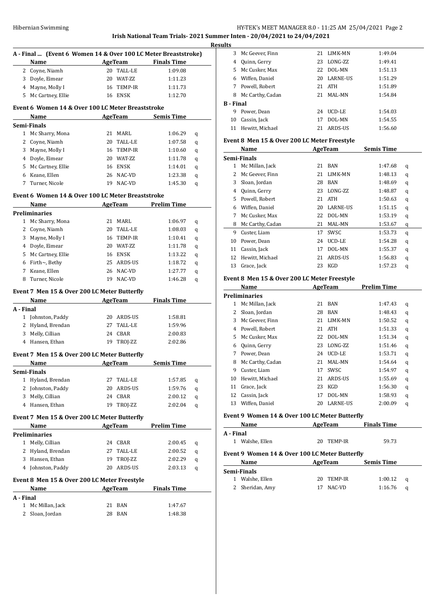# HY-TEK's MEET MANAGER 8.0 - 11:25 AM 25/04/2021 Page 2 **Irish National Team Trials- 2021 Summer Inten - 20/04/2021 to 24/04/2021**

|           | Name                                              |    | <b>AgeTeam</b> | A - Final  (Event 6 Women 14 & Over 100 LC Meter Breaststroke)<br><b>Finals Time</b> |   |
|-----------|---------------------------------------------------|----|----------------|--------------------------------------------------------------------------------------|---|
|           | 2 Coyne, Niamh                                    |    | 20 TALL-LE     | 1:09.08                                                                              |   |
|           | 3 Doyle, Eimear                                   |    | 20 WAT-ZZ      | 1:11.23                                                                              |   |
|           | 4 Mayne, Molly I                                  |    | 16 TEMP-IR     | 1:11.73                                                                              |   |
|           |                                                   |    | 16 ENSK        | 1:12.70                                                                              |   |
|           | 5 Mc Cartney, Ellie                               |    |                |                                                                                      |   |
|           | Event 6 Women 14 & Over 100 LC Meter Breaststroke |    |                |                                                                                      |   |
|           | Name                                              |    |                | AgeTeam Semis Time                                                                   |   |
|           | Semi-Finals                                       |    |                |                                                                                      |   |
|           | 1 Mc Sharry, Mona                                 |    | 21 MARL        | 1:06.29                                                                              | q |
|           | 2 Coyne, Niamh                                    |    | 20 TALL-LE     | 1:07.58                                                                              | q |
|           | 3 Mayne, Molly I                                  |    | 16 TEMP-IR     | 1:10.60                                                                              | q |
|           | 4 Doyle, Eimear                                   |    | 20 WAT-ZZ      | 1:11.78                                                                              | q |
|           | 5 Mc Cartney, Ellie                               |    | 16 ENSK        | 1:14.01                                                                              | q |
|           | 6 Keane, Ellen                                    |    | 26 NAC-VD      | 1:23.38                                                                              | q |
| 7         | Turner, Nicole                                    |    | 19 NAC-VD      | 1:45.30                                                                              | q |
|           | Event 6 Women 14 & Over 100 LC Meter Breaststroke |    |                |                                                                                      |   |
|           | Name                                              |    | <b>AgeTeam</b> | <b>Prelim Time</b>                                                                   |   |
|           | <b>Preliminaries</b>                              |    |                |                                                                                      |   |
|           | 1 Mc Sharry, Mona                                 |    | 21 MARL        | 1:06.97                                                                              |   |
|           |                                                   |    |                |                                                                                      | q |
|           | 2 Coyne, Niamh                                    |    | 20 TALL-LE     | 1:08.03                                                                              | q |
|           | 3 Mayne, Molly I                                  |    | 16 TEMP-IR     | 1:10.41                                                                              | q |
|           | 4 Doyle, Eimear                                   |    | 20 WAT-ZZ      | 1:11.78                                                                              | q |
|           | 5 Mc Cartney, Ellie                               |    | 16 ENSK        | 1:13.22                                                                              | q |
|           | 6 Firth $\sim$ , Bethy                            |    | 25 ARDS-US     | 1:18.72                                                                              | q |
|           | 7 Keane, Ellen                                    |    | 26 NAC-VD      | 1:27.77                                                                              | q |
| 8         | Turner, Nicole                                    |    | 19 NAC-VD      | 1:46.28                                                                              | q |
|           | Event 7 Men 15 & Over 200 LC Meter Butterfly      |    |                |                                                                                      |   |
|           | Name                                              |    | AgeTeam        | <b>Finals Time</b>                                                                   |   |
| A - Final |                                                   |    |                |                                                                                      |   |
|           | 1 Johnston, Paddy                                 |    | 20 ARDS-US     | 1:58.81                                                                              |   |
|           | 2 Hyland, Brendan                                 |    | 27 TALL-LE     | 1:59.96                                                                              |   |
|           | 3 Melly, Cillian                                  |    | 24 CBAR        | 2:00.83                                                                              |   |
|           | 4 Hansen, Ethan                                   |    | 19 TROJ-ZZ     | 2:02.86                                                                              |   |
|           |                                                   |    |                |                                                                                      |   |
|           | Event 7 Men 15 & Over 200 LC Meter Butterfly      |    | AgeTeam        | <b>Semis Time</b>                                                                    |   |
|           | <b>Name</b>                                       |    |                |                                                                                      |   |
|           | Semi-Finals                                       |    |                |                                                                                      |   |
| 1         | Hyland, Brendan                                   | 27 | TALL-LE        | 1:57.85                                                                              | q |
|           | 2 Johnston, Paddy                                 |    | 20 ARDS-US     | 1:59.76                                                                              | q |
|           | 3 Melly, Cillian                                  |    | 24 CBAR        | 2:00.12                                                                              | q |
|           | 4 Hansen. Ethan                                   | 19 | TROJ-ZZ        | 2:02.04                                                                              | q |
|           | Event 7 Men 15 & Over 200 LC Meter Butterfly      |    |                |                                                                                      |   |
|           | Name                                              |    | AgeTeam        | <b>Prelim Time</b>                                                                   |   |
|           | <b>Preliminaries</b>                              |    |                |                                                                                      |   |
|           | 1 Melly, Cillian                                  |    | 24 CBAR        | 2:00.45                                                                              | q |
|           | 2 Hyland, Brendan                                 | 27 | TALL-LE        | 2:00.52                                                                              | q |
|           | 3 Hansen, Ethan                                   |    | 19 TROJ-ZZ     | 2:02.29                                                                              | q |
|           | 4 Johnston, Paddy                                 |    | 20 ARDS-US     | 2:03.13                                                                              | q |
|           |                                                   |    |                |                                                                                      |   |
|           | Event 8 Men 15 & Over 200 LC Meter Freestyle      |    |                |                                                                                      |   |
|           | Name                                              |    | AgeTeam        | <b>Finals Time</b>                                                                   |   |
| A - Final | 1 Mc Millan, Jack                                 | 21 | BAN            | 1:47.67                                                                              |   |
|           | 2 Sloan, Jordan                                   |    | 28 BAN         | 1:48.38                                                                              |   |
|           |                                                   |    |                |                                                                                      |   |

| <b>Results</b>   |                    |    |                 |         |
|------------------|--------------------|----|-----------------|---------|
|                  | 3 Mc Geever, Finn  | 21 | LIMK-MN         | 1:49.04 |
| 4                | Quinn, Gerry       | 23 | LONG-ZZ         | 1:49.41 |
|                  | 5 Mc Cusker, Max   | 22 | DOL-MN          | 1:51.13 |
|                  | 6 Wiffen, Daniel   | 20 | <b>LARNE-US</b> | 1:51.29 |
| 7                | Powell, Robert     |    | 21 ATH          | 1:51.89 |
| 8                | Mc Carthy, Cadan   | 21 | MAL-MN          | 1:54.84 |
| <b>B</b> - Final |                    |    |                 |         |
| 9                | Power, Dean        | 24 | UCD-LE          | 1:54.03 |
| 10               | Cassin, Jack       | 17 | DOL-MN          | 1:54.55 |
|                  | 11 Hewitt, Michael | 21 | ARDS-US         | 1:56.60 |

# **Event 8 Men 15 & Over 200 LC Meter Freestyle**

|              | Name                                         |    | <b>AgeTeam</b>  | <b>Semis Time</b>  |   |  |
|--------------|----------------------------------------------|----|-----------------|--------------------|---|--|
|              | Semi-Finals                                  |    |                 |                    |   |  |
| $\mathbf{1}$ | Mc Millan, Jack                              | 21 | <b>BAN</b>      | 1:47.68            | q |  |
| 2            | Mc Geever, Finn                              | 21 | LIMK-MN         | 1:48.13            | q |  |
| 3            | Sloan, Jordan                                | 28 | <b>BAN</b>      | 1:48.69            | q |  |
| 4            | Quinn, Gerry                                 | 23 | LONG-ZZ         | 1:48.87            | q |  |
| 5            | Powell, Robert                               | 21 | <b>ATH</b>      | 1:50.63            | q |  |
| 6            | Wiffen, Daniel                               | 20 | <b>LARNE-US</b> | 1:51.15            | q |  |
| 7            | Mc Cusker, Max                               | 22 | DOL-MN          | 1:53.19            | q |  |
| 8            | Mc Carthy, Cadan                             | 21 | MAL-MN          | 1:53.67            | q |  |
| 9            | Custer, Liam                                 | 17 | SWSC            | 1:53.73            | q |  |
| 10           | Power, Dean                                  | 24 | UCD-LE          | 1:54.28            | q |  |
| 11           | Cassin, Jack                                 | 17 | DOL-MN          | 1:55.37            | q |  |
| 12           | Hewitt, Michael                              | 21 | <b>ARDS-US</b>  | 1:56.83            | q |  |
| 13           | Grace, Jack                                  | 23 | <b>KGD</b>      | 1:57.23            | q |  |
|              | Event 8 Men 15 & Over 200 LC Meter Freestyle |    |                 |                    |   |  |
|              | Name                                         |    | AgeTeam         | <b>Prelim Time</b> |   |  |
|              | <b>Preliminaries</b>                         |    |                 |                    |   |  |
| 1            | Mc Millan, Jack                              | 21 | <b>BAN</b>      | 1:47.43            | q |  |
| 2            | Sloan, Jordan                                | 28 | <b>BAN</b>      | 1:48.43            | q |  |
| 3            | Mc Geever, Finn                              | 21 | LIMK-MN         | 1:50.52            | q |  |
| 4            | Powell, Robert                               | 21 | <b>ATH</b>      | 1:51.33            | q |  |
| 5            | Mc Cusker, Max                               | 22 | DOL-MN          | 1:51.34            | q |  |
| 6            | Quinn, Gerry                                 | 23 | LONG-ZZ         | 1:51.46            | q |  |
| 7            | Power, Dean                                  | 24 | UCD-LE          | 1:53.71            | q |  |
| 8            | Mc Carthy, Cadan                             | 21 | MAL-MN          | 1:54.64            | q |  |
| 9            | Custer, Liam                                 | 17 | SWSC            | 1:54.97            | q |  |
| 10           | Hewitt, Michael                              | 21 | ARDS-US         | 1:55.69            | q |  |
| 11           | Grace, Jack                                  | 23 | <b>KGD</b>      | 1:56.30            | q |  |

## **Event 9 Women 14 & Over 100 LC Meter Butterfly**

| Name                                           | AgeTeam        | <b>Finals Time</b> |  |
|------------------------------------------------|----------------|--------------------|--|
| A - Final                                      |                |                    |  |
| Walshe, Ellen                                  | TEMP-IR<br>20  | 59.73              |  |
| Event 9 Women 14 & Over 100 LC Meter Butterfly |                |                    |  |
| Name                                           | AgeTeam        | <b>Semis Time</b>  |  |
| Semi-Finals                                    |                |                    |  |
| Walshe, Ellen                                  | TEMP-IR<br>20. | 1:00.12<br>a       |  |

Sheridan, Amy 17 NAC-VD 1:16.76 q

 Cassin, Jack 17 DOL-MN 1:58.93 q Wiffen, Daniel 20 LARNE-US 2:00.09 q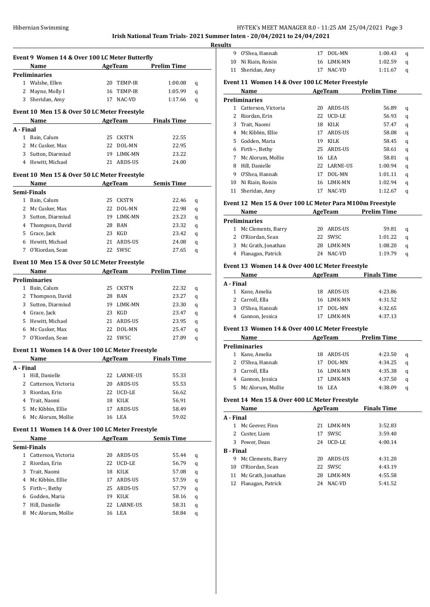# HY-TEK's MEET MANAGER 8.0 - 11:25 AM 25/04/2021 Page 3

**Irish National Team Trials- 2021 Summer Inten - 20/04/2021 to 24/04/2021 Results**

|           | Event 9 Women 14 & Over 100 LC Meter Butterfly  |    |             |                                      |   |
|-----------|-------------------------------------------------|----|-------------|--------------------------------------|---|
|           | Name                                            |    |             | <b>Example 2 AgeTeam</b> Prelim Time |   |
|           | Preliminaries                                   |    |             |                                      |   |
|           | 1 Walshe, Ellen                                 |    | 20 TEMP-IR  | 1:00.08                              | q |
|           | 2 Mayne, Molly I                                |    | 16 TEMP-IR  | 1:05.99                              | q |
|           | 3 Sheridan, Amy                                 |    | 17 NAC-VD   | 1:17.66                              | q |
|           |                                                 |    |             |                                      |   |
|           | Event 10 Men 15 & Over 50 LC Meter Freestyle    |    |             |                                      |   |
|           | Name AgeTeam Finals Time                        |    |             |                                      |   |
| A - Final |                                                 |    |             |                                      |   |
|           | 1 Bain, Calum                                   |    | 25 CKSTN    | 22.55                                |   |
|           | 2 Mc Cusker, Max                                |    | 22 DOL-MN   | 22.95                                |   |
|           | 3 Sutton, Diarmiud                              |    | 19 LIMK-MN  | 23.22                                |   |
|           | 4 Hewitt, Michael                               |    | 21 ARDS-US  | 24.00                                |   |
|           | Event 10 Men 15 & Over 50 LC Meter Freestyle    |    |             |                                      |   |
|           | Name<br><b>AgeTeam</b>                          |    |             | <b>Semis Time</b>                    |   |
|           | Semi-Finals                                     |    |             |                                      |   |
|           | 1 Bain, Calum                                   |    | 25 CKSTN    | 22.46                                | q |
|           | 2 Mc Cusker, Max                                |    | 22 DOL-MN   | 22.98                                | q |
|           | 3 Sutton, Diarmiud                              |    | 19 LIMK-MN  | 23.23                                | q |
|           | 4 Thompson, David                               |    | 28 BAN      | 23.32                                | q |
|           | 5 Grace, Jack                                   |    | 23 KGD      | 23.42                                | q |
|           | 6 Hewitt, Michael                               |    | 21 ARDS-US  | 24.08                                | q |
|           | 7 O'Riordan, Sean                               |    | 22 SWSC     | 27.65                                | q |
|           |                                                 |    |             |                                      |   |
|           | Event 10 Men 15 & Over 50 LC Meter Freestyle    |    |             |                                      |   |
|           | Name AgeTeam                                    |    |             | <b>Prelim Time</b>                   |   |
|           | Preliminaries                                   |    |             |                                      |   |
|           | 1 Bain, Calum                                   |    | 25 CKSTN    | 22.32                                | q |
|           | 2 Thompson, David                               |    | 28 BAN      | 23.27                                | q |
|           | 3 Sutton, Diarmiud                              |    | 19 LIMK-MN  | 23.30                                | q |
|           | 4 Grace, Jack                                   |    | 23 KGD      | 23.47                                | q |
|           | 5 Hewitt, Michael                               |    | 21 ARDS-US  | 23.95                                | q |
|           | 6 Mc Cusker, Max                                |    | 22 DOL-MN   | 25.47                                | q |
|           | 7 O'Riordan, Sean                               |    | 22 SWSC     | 27.89                                | q |
|           | Event 11 Women 14 & Over 100 LC Meter Freestyle |    |             |                                      |   |
|           | Name                                            |    |             | <b>AgeTeam</b> Finals Time           |   |
| A - Final |                                                 |    |             |                                      |   |
| 1         | Hill, Danielle                                  | 22 | LARNE-US    | 55.33                                |   |
| 2         | Catterson, Victoria                             | 20 | ARDS-US     | 55.53                                |   |
| 3         | Riordan, Erin                                   |    | 22 UCD-LE   | 56.62                                |   |
| 4         | Trait, Naomi                                    |    | 18 KILK     | 56.91                                |   |
| 5.        | Mc Kibbin, Ellie                                | 17 | ARDS-US     | 58.49                                |   |
| 6         | Mc Alorum, Mollie                               |    | 16 LEA      | 59.02                                |   |
|           |                                                 |    |             |                                      |   |
|           | Event 11 Women 14 & Over 100 LC Meter Freestyle |    |             |                                      |   |
|           | <b>Name</b>                                     |    | AgeTeam     | <b>Semis Time</b>                    |   |
|           | Semi-Finals                                     |    |             |                                      |   |
|           | 1 Catterson, Victoria                           | 20 | ARDS-US     | 55.44                                | q |
| 2         | Riordan, Erin                                   | 22 | UCD-LE      | 56.79                                | q |
| 3         | Trait, Naomi                                    |    | 18 KILK     | 57.08                                | q |
| 4         | Mc Kibbin, Ellie                                |    | 17 ARDS-US  | 57.59                                | q |
| 5         | Firth $\sim$ , Bethy                            |    | 25 ARDS-US  | 57.79                                | q |
| 6         | Godden, Maria                                   |    | 19 KILK     | 58.16                                | q |
| 7         | Hill, Danielle                                  |    | 22 LARNE-US | 58.31                                | q |
| 8         | Mc Alorum, Mollie                               |    | 16 LEA      | 58.84                                | q |
|           |                                                 |    |             |                                      |   |

| ults |                                                 |    |                |                    |   |  |
|------|-------------------------------------------------|----|----------------|--------------------|---|--|
| 9    | O'Shea, Hannah                                  | 17 | DOL-MN         | 1:00.43            | q |  |
| 10   | Ni Riain, Roisin                                | 16 | LIMK-MN        | 1:02.59            | q |  |
| 11   | Sheridan, Amy                                   | 17 | NAC-VD         | 1:11.67            | q |  |
|      | Event 11 Women 14 & Over 100 LC Meter Freestyle |    |                |                    |   |  |
|      | Name                                            |    | AgeTeam        | <b>Prelim Time</b> |   |  |
|      | <b>Preliminaries</b>                            |    |                |                    |   |  |
| 1    | Catterson, Victoria                             | 20 | <b>ARDS-US</b> | 56.89              | q |  |
| 2    | Riordan, Erin                                   | 22 | UCD-LE         | 56.93              | q |  |
| 3    | Trait, Naomi                                    | 18 | KILK           | 57.47              | q |  |
| 4    | Mc Kibbin, Ellie                                | 17 | <b>ARDS-US</b> | 58.08              | q |  |
| 5    | Godden, Maria                                   | 19 | KILK           | 58.45              | q |  |
| 6    | Firth $\sim$ , Bethy                            |    | 25 ARDS-US     | 58.61              | q |  |
| 7    | Mc Alorum, Mollie                               |    | 16 LEA         | 58.81              | q |  |

# Ni Riain, Roisin 16 LIMK-MN 1:02.94 q Sheridan, Amy 17 NAC-VD 1:12.67 q

 Hill, Danielle 22 LARNE-US 1:00.94 q O'Shea, Hannah 17 DOL-MN 1:01.11 q

# **Event 12 Men 15 & Over 100 LC Meter Para M100m Freestyle**

| <b>Name</b> |                      | AgeTeam |         | <b>Prelim Time</b> |   |
|-------------|----------------------|---------|---------|--------------------|---|
|             | <b>Preliminaries</b> |         |         |                    |   |
|             | 1 Mc Clements, Barry | 20.     | ARDS-US | 59.81              | a |
|             | 2 O'Riordan, Sean    |         | 22 SWSC | 1:01.22            | a |
|             | 3 Mc Grath, Jonathan | 28.     | LIMK-MN | 1:08.20            | a |
|             | 4 Flanagan, Patrick  | 24      | NAC-VD  | 1:19.79            | a |
|             |                      |         |         |                    |   |

# **Event 13 Women 14 & Over 400 LC Meter Freestyle**

|           | Name              | AgeTeam        | <b>Finals Time</b> |
|-----------|-------------------|----------------|--------------------|
| A - Final |                   |                |                    |
|           | 1 Kane, Amelia    | 18 ARDS-US     | 4:23.86            |
|           | 2 Carroll, Ella   | 16 LIMK-MN     | 4:31.52            |
|           | 3 O'Shea, Hannah  | 17 DOL-MN      | 4:32.65            |
|           | 4 Gannon, Jessica | <b>LIMK-MN</b> | 4:37.13            |

### **Event 13 Women 14 & Over 400 LC Meter Freestyle**

| Name |                      | AgeTeam |            | <b>Prelim Time</b> |   |
|------|----------------------|---------|------------|--------------------|---|
|      | <b>Preliminaries</b> |         |            |                    |   |
|      | Kane, Amelia         |         | 18 ARDS-US | 4:23.50            | a |
|      | 2 O'Shea, Hannah     |         | DOL-MN     | 4:34.25            | a |
|      | 3 Carroll, Ella      |         | 16 LIMK-MN | 4:35.38            | a |
|      | Gannon, Jessica      |         | LIMK-MN    | 4:37.50            | a |
| 5.   | Mc Alorum, Mollie    | Ίh      | LEA        | 4:38.09            |   |

#### **Event 14 Men 15 & Over 400 LC Meter Freestyle**

|           | Name               | AgeTeam |                | <b>Finals Time</b> |  |
|-----------|--------------------|---------|----------------|--------------------|--|
| A - Final |                    |         |                |                    |  |
| 1         | Mc Geever, Finn    | 21      | LIMK-MN        | 3:52.83            |  |
| 2         | Custer, Liam       | 17      | SWSC           | 3:59.40            |  |
| 3         | Power, Dean        | 24      | UCD-LE         | 4:00.14            |  |
| B - Final |                    |         |                |                    |  |
| 9         | Mc Clements, Barry | 20      | ARDS-US        | 4:31.20            |  |
| 10        | O'Riordan, Sean    | 22      | SWSC           | 4:43.19            |  |
| 11        | Mc Grath, Jonathan | 28      | <b>LIMK-MN</b> | 4:55.58            |  |
| 12        | Flanagan, Patrick  | 24      | NAC-VD         | 5:41.52            |  |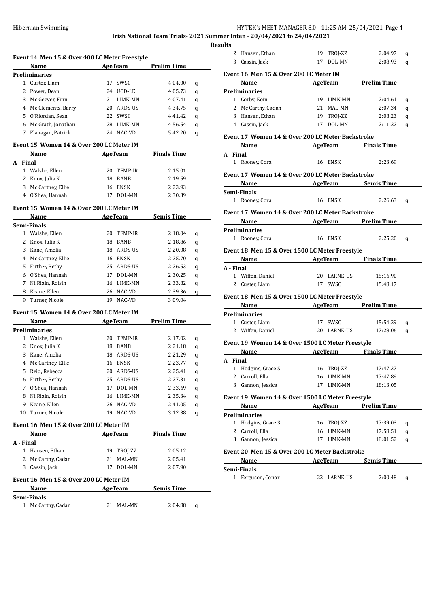**Irish National Team Trials- 2021 Summer** 

**Resul** 

|              | Event 14 Men 15 & Over 400 LC Meter Freestyle<br>Name |    | AgeTeam        | <b>Prelim Time</b> |                       |
|--------------|-------------------------------------------------------|----|----------------|--------------------|-----------------------|
|              | Preliminaries                                         |    |                |                    |                       |
| 1            | Custer, Liam                                          |    | 17 SWSC        | 4:04.00            | q                     |
|              | 2 Power, Dean                                         |    | 24 UCD-LE      | 4:05.73            | q                     |
|              | 3 Mc Geever, Finn                                     |    | 21 LIMK-MN     | 4:07.41            | q                     |
|              | 4 Mc Clements, Barry                                  |    | 20 ARDS-US     | 4:34.75            | q                     |
|              | 5 O'Riordan, Sean                                     |    | 22 SWSC        | 4:41.42            | q                     |
|              | 6 Mc Grath, Jonathan                                  |    | 28 LIMK-MN     | 4:56.54            | q                     |
|              | 7 Flanagan, Patrick                                   |    | 24 NAC-VD      | 5:42.20            | q                     |
|              |                                                       |    |                |                    |                       |
|              | Event 15 Women 14 & Over 200 LC Meter IM              |    |                |                    |                       |
|              | Name                                                  |    | <b>AgeTeam</b> | <b>Finals Time</b> |                       |
| A - Final    |                                                       |    |                |                    |                       |
| $\mathbf{1}$ | Walshe, Ellen                                         |    | 20 TEMP-IR     | 2:15.01            |                       |
|              | 2 Knox, Julia K                                       |    | 18 BANB        | 2:19.59            |                       |
|              | 3 Mc Cartney, Ellie                                   |    | 16 ENSK        | 2:23.93            |                       |
|              | 4 O'Shea, Hannah                                      | 17 | DOL-MN         | 2:30.39            |                       |
|              | Event 15 Women 14 & Over 200 LC Meter IM              |    |                |                    |                       |
|              | Name                                                  |    | <b>AgeTeam</b> | Semis Time         |                       |
|              | Semi-Finals                                           |    |                |                    |                       |
|              | 1 Walshe, Ellen                                       |    | 20 TEMP-IR     | 2:18.04            | q                     |
|              | 2 Knox, Julia K                                       |    | 18 BANB        | 2:18.86            | q                     |
| 3            | Kane, Amelia                                          |    | 18 ARDS-US     | 2:20.08            | q                     |
|              | 4 Mc Cartney, Ellie                                   |    | 16 ENSK        | 2:25.70            | q                     |
| 5            | Firth~, Bethy                                         |    | 25 ARDS-US     | 2:26.53            | q                     |
| 6            | O'Shea, Hannah                                        |    | 17 DOL-MN      | 2:30.25            | q                     |
| 7            | Ni Riain, Roisin                                      |    | 16 LIMK-MN     | 2:33.82            | q                     |
| 8            | Keane, Ellen                                          |    | 26 NAC-VD      | 2:39.36            |                       |
| 9            | Turner, Nicole                                        | 19 | NAC-VD         | 3:09.04            | q                     |
|              |                                                       |    |                |                    |                       |
|              | Event 15 Women 14 & Over 200 LC Meter IM              |    |                |                    |                       |
|              | Name                                                  |    | AgeTeam        | <b>Prelim Time</b> |                       |
|              | Preliminaries                                         |    |                |                    |                       |
|              |                                                       |    |                | 2:17.02            |                       |
|              | 1 Walshe, Ellen                                       |    | 20 TEMP-IR     |                    | q                     |
|              | 2 Knox, Julia K                                       |    | 18 BANB        | 2:21.18            | q                     |
|              | 3 Kane, Amelia                                        |    | 18 ARDS-US     | 2:21.29            |                       |
|              | 4 Mc Cartney, Ellie                                   |    | 16 ENSK        | 2:23.77            | q                     |
| 5            | Reid, Rebecca                                         |    | 20 ARDS-US     | 2:25.41            | q<br>q                |
|              | 6 Firth~, Bethy                                       |    | 25 ARDS-US     | 2:27.31            |                       |
|              | 7 O'Shea, Hannah                                      | 17 | DOL-MN         | 2:33.69            |                       |
|              | 8 Ni Riain, Roisin                                    |    | 16 LIMK-MN     | 2:35.34            |                       |
|              | 9 Keane, Ellen                                        |    | 26 NAC-VD      | 2:41.05            |                       |
|              | 10 Turner, Nicole                                     |    | 19 NAC-VD      | 3:12.38            | q<br>q<br>q<br>q<br>q |
|              | Event 16  Men 15 & Over 200 LC Meter IM               |    |                |                    |                       |
|              | Name                                                  |    | AgeTeam        | <b>Finals Time</b> |                       |
| A - Final    |                                                       |    |                |                    |                       |
|              | 1 Hansen, Ethan                                       |    | 19 TROJ-ZZ     | 2:05.12            |                       |
|              | 2 Mc Carthy, Cadan                                    | 21 | MAL-MN         | 2:05.41            |                       |
|              | 3 Cassin, Jack                                        | 17 | DOL-MN         | 2:07.90            |                       |
|              | Event 16 Men 15 & Over 200 LC Meter IM                |    |                |                    |                       |
|              | Name                                                  |    | AgeTeam        | <b>Semis Time</b>  |                       |
|              | Semi-Finals                                           |    |                |                    |                       |

|                           | 2 Hansen, Ethan                                                |         | 19 TROJ-ZZ              | 2:04.97              |        |
|---------------------------|----------------------------------------------------------------|---------|-------------------------|----------------------|--------|
|                           | 3 Cassin, Jack                                                 |         | 17 DOL-MN               | 2:08.93              | q<br>q |
|                           |                                                                |         |                         |                      |        |
|                           | Event 16 Men 15 & Over 200 LC Meter IM                         |         |                         |                      |        |
|                           | Name AgeTeam Prelim Time                                       |         |                         |                      |        |
|                           | <b>Preliminaries</b>                                           |         |                         |                      |        |
|                           | 1 Corby, Eoin                                                  |         | 19 LIMK-MN              | 2:04.61              | q      |
|                           | 2 Mc Carthy, Cadan                                             |         | 21 MAL-MN               | 2:07.34              | q      |
|                           | 3 Hansen, Ethan                                                |         | 19 TROJ-ZZ<br>17 DOL-MN | 2:08.23              | q      |
|                           | 4 Cassin, Jack                                                 |         |                         | 2:11.22              | q      |
|                           | Event 17 Women 14 & Over 200 LC Meter Backstroke               |         |                         |                      |        |
|                           | <b>Example 2.1 Simulate Science AgeTeam</b> Finals Time        |         |                         |                      |        |
| A - Final                 |                                                                |         |                         |                      |        |
|                           | 1 Rooney, Cora                                                 |         | 16 ENSK                 | 2:23.69              |        |
|                           | Event 17 Women 14 & Over 200 LC Meter Backstroke               |         |                         |                      |        |
|                           | <b>Example 2.1 AgeTeam</b> Semis Time                          |         |                         |                      |        |
|                           | Semi-Finals                                                    |         |                         |                      |        |
|                           | 1 Rooney, Cora                                                 | 16 ENSK |                         | 2:26.63              | q      |
|                           | Event 17 Women 14 & Over 200 LC Meter Backstroke               |         |                         |                      |        |
|                           |                                                                |         |                         |                      |        |
|                           | <b>Example 2.1 AgeTeam</b> Prelim Time<br><b>Preliminaries</b> |         |                         |                      |        |
|                           | 1 Rooney, Cora                                                 |         | 16 ENSK                 | $2:25.20$ q          |        |
|                           |                                                                |         |                         |                      |        |
|                           | Event 18 Men 15 & Over 1500 LC Meter Freestyle                 |         |                         |                      |        |
|                           | <b>Name <i>n</i></b>                                           |         |                         | AgeTeam Finals Time  |        |
|                           |                                                                |         |                         |                      |        |
| A - Final                 |                                                                |         |                         |                      |        |
|                           | 1 Wiffen, Daniel                                               |         | 20 LARNE-US             | 15:16.90             |        |
|                           | 2 Custer, Liam                                                 |         | 17 SWSC                 | 15:48.17             |        |
|                           | Event 18 Men 15 & Over 1500 LC Meter Freestyle                 |         |                         |                      |        |
|                           | Name AgeTeam Prelim Time                                       |         |                         |                      |        |
|                           | <b>Preliminaries</b>                                           |         |                         |                      |        |
|                           | 1 Custer, Liam                                                 |         | 17 SWSC                 | 15:54.29             | q      |
|                           | 2 Wiffen, Daniel                                               |         |                         | 20 LARNE-US 17:28.06 | q      |
|                           |                                                                |         |                         |                      |        |
|                           | Event 19 Women 14 & Over 1500 LC Meter Freestyle               |         |                         |                      |        |
|                           | Name AgeTeam Finals Time                                       |         |                         |                      |        |
| A - Final<br>$\mathbf{1}$ |                                                                |         | 16 TROJ-ZZ              | 17:47.37             |        |
|                           | Hodgins, Grace S<br>2 Carroll, Ella                            |         | 16 LIMK-MN              | 17:47.89             |        |
|                           | 3 Gannon, Jessica                                              |         | 17 LIMK-MN              | 18:13.05             |        |
|                           |                                                                |         |                         |                      |        |
|                           | Event 19 Women 14 & Over 1500 LC Meter Freestyle               |         |                         |                      |        |
|                           | Name                                                           |         | AgeTeam                 | Prelim Time          |        |
|                           | <b>Preliminaries</b>                                           |         |                         |                      |        |
|                           | 1 Hodgins, Grace S                                             |         | 16 TROJ-ZZ              | 17:39.03             | q      |
|                           | 2 Carroll, Ella                                                |         | 16 LIMK-MN              | 17:58.51             | q      |
|                           | 3 Gannon, Jessica                                              |         | 17 LIMK-MN              | 18:01.52             | q      |
|                           | Event 20 Men 15 & Over 200 LC Meter Backstroke                 |         |                         |                      |        |
|                           | Name                                                           |         |                         | AgeTeam Semis Time   |        |
|                           | Semi-Finals                                                    |         |                         |                      |        |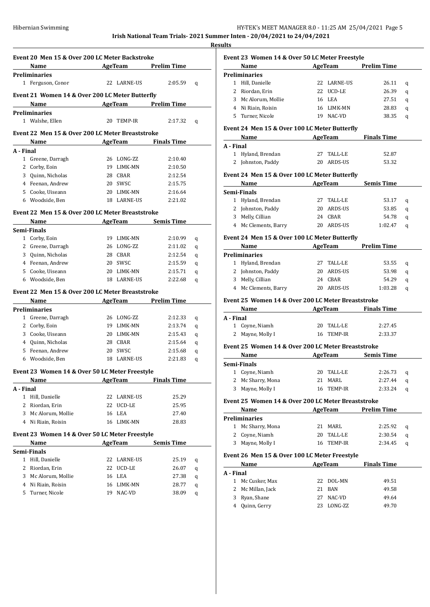**Results**

|              |                                                  | Event 20 Men 15 & Over 200 LC Meter Backstroke |             |                                      |   |
|--------------|--------------------------------------------------|------------------------------------------------|-------------|--------------------------------------|---|
|              | Name                                             |                                                |             | <b>Example 2 AgeTeam</b> Prelim Time |   |
|              | Preliminaries                                    |                                                |             |                                      |   |
|              | 1 Ferguson, Conor                                |                                                | 22 LARNE-US | 2:05.59                              | q |
|              | Event 21 Women 14 & Over 200 LC Meter Butterfly  |                                                |             |                                      |   |
|              | Name                                             |                                                |             | <b>Example 2 AgeTeam</b> Prelim Time |   |
|              | Preliminaries                                    |                                                |             |                                      |   |
|              | 1 Walshe, Ellen                                  |                                                | 20 TEMP-IR  | 2:17.32                              | q |
|              |                                                  |                                                |             |                                      |   |
|              | Event 22 Men 15 & Over 200 LC Meter Breaststroke |                                                |             |                                      |   |
|              | Name AgeTeam Finals Time                         |                                                |             |                                      |   |
| A - Final    |                                                  |                                                |             |                                      |   |
|              | 1 Greene, Darragh                                |                                                | 26 LONG-ZZ  | 2:10.40                              |   |
|              | 2 Corby, Eoin                                    |                                                | 19 LIMK-MN  | 2:10.50                              |   |
|              | 3 Quinn, Nicholas                                |                                                | 28 CBAR     | 2:12.54                              |   |
|              | 4 Feenan, Andrew                                 |                                                | 20 SWSC     | 2:15.75                              |   |
|              | 5 Cooke, Uiseann                                 |                                                | 20 LIMK-MN  | 2:16.64                              |   |
|              | 6 Woodside, Ben                                  |                                                | 18 LARNE-US | 2:21.02                              |   |
|              | Event 22 Men 15 & Over 200 LC Meter Breaststroke |                                                |             |                                      |   |
|              | Name                                             |                                                |             | <b>Example 21 AgeTeam</b> Semis Time |   |
|              | Semi-Finals                                      |                                                |             |                                      |   |
|              | 1 Corby, Eoin                                    |                                                | 19 LIMK-MN  | 2:10.99                              | q |
|              | 2 Greene, Darragh                                |                                                | 26 LONG-ZZ  | 2:11.02                              | q |
|              | 3 Quinn, Nicholas                                |                                                | 28 CBAR     | 2:12.54                              | q |
|              | 4 Feenan, Andrew                                 |                                                | 20 SWSC     | 2:15.59                              | q |
|              |                                                  |                                                | 20 LIMK-MN  | 2:15.71                              | q |
|              |                                                  |                                                |             |                                      |   |
|              | 5 Cooke, Uiseann                                 |                                                |             |                                      |   |
|              | 6 Woodside, Ben                                  |                                                | 18 LARNE-US | 2:22.68                              | q |
|              | Event 22 Men 15 & Over 200 LC Meter Breaststroke |                                                |             |                                      |   |
|              | Name AgeTeam Prelim Time                         |                                                |             |                                      |   |
|              | Preliminaries                                    |                                                |             |                                      |   |
|              | 1 Greene, Darragh                                |                                                | 26 LONG-ZZ  | 2:12.33                              | q |
|              | 2 Corby, Eoin                                    |                                                | 19 LIMK-MN  | 2:13.74                              | q |
|              | 3 Cooke, Uiseann                                 |                                                | 20 LIMK-MN  | 2:15.43                              | q |
|              | 4 Quinn, Nicholas                                |                                                | 28 CBAR     | 2:15.64                              | q |
|              | 5 Feenan, Andrew                                 |                                                | 20 SWSC     | 2:15.68                              | q |
|              | 6 Woodside, Ben                                  |                                                | 18 LARNE-US | 2:21.83                              | q |
|              |                                                  |                                                |             |                                      |   |
|              | Event 23 Women 14 & Over 50 LC Meter Freestyle   |                                                |             |                                      |   |
|              | Name                                             |                                                | AgeTeam     | <b>Finals Time</b>                   |   |
| A - Final    |                                                  |                                                |             |                                      |   |
| $\mathbf{1}$ | Hill, Danielle                                   |                                                | 22 LARNE-US | 25.29                                |   |
| 2            | Riordan, Erin                                    |                                                | 22 UCD-LE   | 25.95                                |   |
| 3            | Mc Alorum, Mollie                                |                                                | 16 LEA      | 27.40                                |   |
|              | 4 Ni Riain, Roisin                               |                                                | 16 LIMK-MN  | 28.83                                |   |
|              | Event 23 Women 14 & Over 50 LC Meter Freestyle   |                                                |             |                                      |   |
|              | Name                                             |                                                | AgeTeam     | Semis Time                           |   |
|              | Semi-Finals                                      |                                                |             |                                      |   |
| 1            | Hill, Danielle                                   | 22                                             | LARNE-US    | 25.19                                | q |
| 2            | Riordan, Erin                                    | 22                                             | UCD-LE      | 26.07                                | q |
| 3            | Mc Alorum, Mollie                                | 16                                             | LEA         | 27.38                                | q |
| 4            | Ni Riain, Roisin                                 |                                                | 16 LIMK-MN  | 28.77                                | q |

# **Event 23 Women 14 & Over 50 LC Meter Freestyle**

| Name           |                                                                                                        |        | <b>Prelim Time</b>                                    |   |
|----------------|--------------------------------------------------------------------------------------------------------|--------|-------------------------------------------------------|---|
|                |                                                                                                        |        |                                                       |   |
| Hill, Danielle |                                                                                                        |        | 26.11                                                 | a |
|                | 22.                                                                                                    |        | 26.39                                                 | a |
|                |                                                                                                        |        | 27.51                                                 | a |
|                | 16.                                                                                                    |        | 28.83                                                 | a |
|                | 19                                                                                                     | NAC-VD | 38.35                                                 | a |
|                | <b>Preliminaries</b><br>2 Riordan, Erin<br>3 Mc Alorum, Mollie<br>Ni Riain, Roisin<br>5 Turner, Nicole |        | AgeTeam<br>22 LARNE-US<br>UCD-LE<br>16 LEA<br>LIMK-MN |   |

# **Event 24 Men 15 & Over 100 LC Meter Butterfly**

| Name              | AgeTeam    | <b>Finals Time</b> |  |
|-------------------|------------|--------------------|--|
| A - Final         |            |                    |  |
| 1 Hyland, Brendan | 27 TALL-LE | 52.87              |  |
| 2 Johnston, Paddy | 20 ARDS-US | 53.32              |  |

# **Event 24 Men 15 & Over 100 LC Meter Butterfly**

| Name                 | AgeTeam |            | <b>Semis Time</b> |   |
|----------------------|---------|------------|-------------------|---|
| Semi-Finals          |         |            |                   |   |
| 1 Hyland, Brendan    |         | 27 TALL-LE | 53.17             | a |
| 2 Johnston, Paddy    |         | 20 ARDS-US | 53.85             | a |
| 3 Melly, Cillian     |         | 24 CBAR    | 54.78             | a |
| 4 Mc Clements, Barry |         | ARDS-US    | 1:02.47           |   |

# **Event 24 Men 15 & Over 100 LC Meter Butterfly**

| Name |                      | AgeTeam    | <b>Prelim Time</b> |   |  |
|------|----------------------|------------|--------------------|---|--|
|      | <b>Preliminaries</b> |            |                    |   |  |
|      | 1 Hyland, Brendan    | 27 TALL-LE | 53.55              | a |  |
|      | 2 Johnston, Paddy    | 20 ARDS-US | 53.98              | a |  |
|      | 3 Melly, Cillian     | 24 CBAR    | 54.29              | a |  |
|      | 4 Mc Clements, Barry | ARDS-US    | 1:03.28            | a |  |

# **Event 25 Women 14 & Over 200 LC Meter Breaststroke**

| Name             | AgeTeam        | <b>Finals Time</b> |  |
|------------------|----------------|--------------------|--|
| A - Final        |                |                    |  |
| 1 Coyne, Niamh   | TALL-LE<br>20. | 2:27.45            |  |
| 2 Mayne, Molly I | TEMP-IR<br>16. | 2:33.37            |  |

#### **Event 25 Women 14 & Over 200 LC Meter Breaststroke**

|    | Name              | AgeTeam    | <b>Semis Time</b> |   |  |
|----|-------------------|------------|-------------------|---|--|
|    | Semi-Finals       |            |                   |   |  |
|    | 1 Coyne, Niamh    | 20 TALL-LE | 2:26.73           | a |  |
|    | 2 Mc Sharry, Mona | 21 MARL    | 2:27.44           | a |  |
| 3. | Mayne, Molly I    | 16 TEMP-IR | 2:33.24           | a |  |

### **Event 25 Women 14 & Over 200 LC Meter Breaststroke**

|    | Name              | AgeTeam    | <b>Prelim Time</b> |   |
|----|-------------------|------------|--------------------|---|
|    | Preliminaries     |            |                    |   |
|    | 1 Mc Sharry, Mona | 21 MARL    | 2:25.92            | a |
|    | 2 Coyne, Niamh    | 20 TALL-LE | 2:30.54            | a |
| 3. | Mayne, Molly I    | 16 TEMP-IR | 2:34.45            |   |

## **Event 26 Men 15 & Over 100 LC Meter Freestyle**

|           | Name              |    | AgeTeam   | <b>Finals Time</b> |       |
|-----------|-------------------|----|-----------|--------------------|-------|
| A - Final |                   |    |           |                    |       |
|           | 1 Mc Cusker, Max  |    | 22 DOL-MN |                    | 49.51 |
|           | 2 Mc Millan, Jack |    | 21 RAN    |                    | 49.58 |
|           | 3 Ryan, Shane     | 27 | NAC-VD    |                    | 49.64 |
|           | 4 Quinn, Gerry    | 23 | LONG-ZZ   |                    | 49.70 |